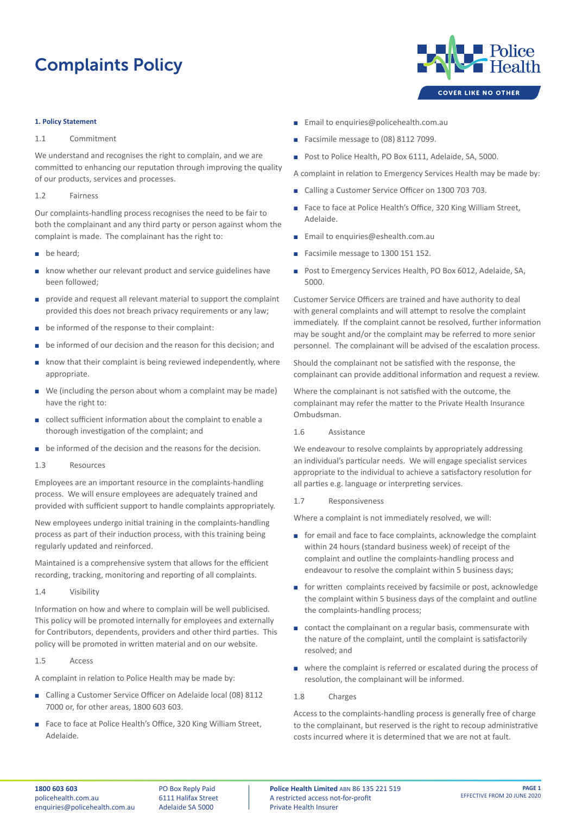# Complaints Policy

#### **1. Policy Statement**

## 1.1 Commitment

We understand and recognises the right to complain, and we are committed to enhancing our reputation through improving the quality of our products, services and processes.

#### 1.2 Fairness

Our complaints-handling process recognises the need to be fair to both the complainant and any third party or person against whom the complaint is made. The complainant has the right to:

- $\blacksquare$  be heard:
- know whether our relevant product and service guidelines have been followed;
- $\Box$  provide and request all relevant material to support the complaint provided this does not breach privacy requirements or any law;
- $\blacksquare$  be informed of the response to their complaint:
- be informed of our decision and the reason for this decision; and
- $\blacksquare$  know that their complaint is being reviewed independently, where appropriate.
- $\blacksquare$  We (including the person about whom a complaint may be made) have the right to:
- collect sufficient information about the complaint to enable a thorough investigation of the complaint; and
- **•** be informed of the decision and the reasons for the decision.
- 1.3 Resources

Employees are an important resource in the complaints-handling process. We will ensure employees are adequately trained and provided with sufficient support to handle complaints appropriately.

New employees undergo initial training in the complaints-handling process as part of their induction process, with this training being regularly updated and reinforced.

Maintained is a comprehensive system that allows for the efficient recording, tracking, monitoring and reporting of all complaints.

## 1.4 Visibility

Information on how and where to complain will be well publicised. This policy will be promoted internally for employees and externally for Contributors, dependents, providers and other third parties. This policy will be promoted in written material and on our website.

#### 1.5 Access

A complaint in relation to Police Health may be made by:

- Calling a Customer Service Officer on Adelaide local (08) 8112 7000 or, for other areas, 1800 603 603.
- Face to face at Police Health's Office, 320 King William Street, Adelaide.
- **Email to enquiries@policehealth.com.au**
- Facsimile message to (08) 8112 7099.
- Post to Police Health, PO Box 6111, Adelaide, SA, 5000.

A complaint in relation to Emergency Services Health may be made by:

- Calling a Customer Service Officer on 1300 703 703.
- Face to face at Police Health's Office, 320 King William Street, Adelaide.
- **Email to enquiries@eshealth.com.au**
- Facsimile message to 1300 151 152.
- Post to Emergency Services Health, PO Box 6012, Adelaide, SA, 5000.

Customer Service Officers are trained and have authority to deal with general complaints and will attempt to resolve the complaint immediately. If the complaint cannot be resolved, further information may be sought and/or the complaint may be referred to more senior personnel. The complainant will be advised of the escalation process.

Should the complainant not be satisfied with the response, the complainant can provide additional information and request a review.

Where the complainant is not satisfied with the outcome, the complainant may refer the matter to the Private Health Insurance Ombudsman.

1.6 Assistance

We endeavour to resolve complaints by appropriately addressing an individual's particular needs. We will engage specialist services appropriate to the individual to achieve a satisfactory resolution for all parties e.g. language or interpreting services.

1.7 Responsiveness

Where a complaint is not immediately resolved, we will:

- $\blacksquare$  for email and face to face complaints, acknowledge the complaint within 24 hours (standard business week) of receipt of the complaint and outline the complaints-handling process and endeavour to resolve the complaint within 5 business days;
- **E** for written complaints received by facsimile or post, acknowledge the complaint within 5 business days of the complaint and outline the complaints-handling process;
- $\Box$  contact the complainant on a regular basis, commensurate with the nature of the complaint, until the complaint is satisfactorily resolved; and
- **E** where the complaint is referred or escalated during the process of resolution, the complainant will be informed.

## 1.8 Charges

Access to the complaints-handling process is generally free of charge to the complainant, but reserved is the right to recoup administrative costs incurred where it is determined that we are not at fault.

PO Box Reply Paid 6111 Halifax Street Adelaide SA 5000

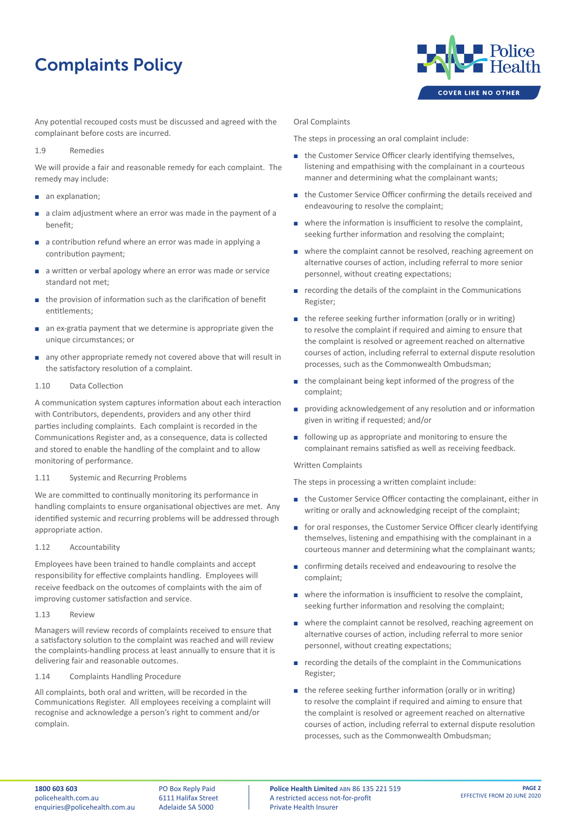## Complaints Policy



Any potential recouped costs must be discussed and agreed with the complainant before costs are incurred.

#### 1.9 Remedies

We will provide a fair and reasonable remedy for each complaint. The remedy may include:

- an explanation;
- $\blacksquare$  a claim adjustment where an error was made in the payment of a benefit;
- **a** a contribution refund where an error was made in applying a contribution payment;
- a written or verbal apology where an error was made or service standard not met;
- $\blacksquare$  the provision of information such as the clarification of benefit entitlements;
- **n** an ex-gratia payment that we determine is appropriate given the unique circumstances; or
- **a** any other appropriate remedy not covered above that will result in the satisfactory resolution of a complaint.

## 1.10 Data Collection

A communication system captures information about each interaction with Contributors, dependents, providers and any other third parties including complaints. Each complaint is recorded in the Communications Register and, as a consequence, data is collected and stored to enable the handling of the complaint and to allow monitoring of performance.

## 1.11 Systemic and Recurring Problems

We are committed to continually monitoring its performance in handling complaints to ensure organisational objectives are met. Any identified systemic and recurring problems will be addressed through appropriate action.

1.12 Accountability

Employees have been trained to handle complaints and accept responsibility for effective complaints handling. Employees will receive feedback on the outcomes of complaints with the aim of improving customer satisfaction and service.

#### 1.13 Review

Managers will review records of complaints received to ensure that a satisfactory solution to the complaint was reached and will review the complaints-handling process at least annually to ensure that it is delivering fair and reasonable outcomes.

1.14 Complaints Handling Procedure

All complaints, both oral and written, will be recorded in the Communications Register. All employees receiving a complaint will recognise and acknowledge a person's right to comment and/or complain.

#### Oral Complaints

The steps in processing an oral complaint include:

- **E** the Customer Service Officer clearly identifying themselves, listening and empathising with the complainant in a courteous manner and determining what the complainant wants;
- **E** the Customer Service Officer confirming the details received and endeavouring to resolve the complaint;
- $\blacksquare$  where the information is insufficient to resolve the complaint, seeking further information and resolving the complaint;
- **E** where the complaint cannot be resolved, reaching agreement on alternative courses of action, including referral to more senior personnel, without creating expectations;
- **EXECT** recording the details of the complaint in the Communications Register;
- **E** the referee seeking further information (orally or in writing) to resolve the complaint if required and aiming to ensure that the complaint is resolved or agreement reached on alternative courses of action, including referral to external dispute resolution processes, such as the Commonwealth Ombudsman;
- $\blacksquare$  the complainant being kept informed of the progress of the complaint;
- **•** providing acknowledgement of any resolution and or information given in writing if requested; and/or
- $\blacksquare$  following up as appropriate and monitoring to ensure the complainant remains satisfied as well as receiving feedback.

## Written Complaints

The steps in processing a written complaint include:

- **E** the Customer Service Officer contacting the complainant, either in writing or orally and acknowledging receipt of the complaint;
- **E** for oral responses, the Customer Service Officer clearly identifying themselves, listening and empathising with the complainant in a courteous manner and determining what the complainant wants;
- confirming details received and endeavouring to resolve the complaint;
- $\blacksquare$  where the information is insufficient to resolve the complaint, seeking further information and resolving the complaint;
- **E** where the complaint cannot be resolved, reaching agreement on alternative courses of action, including referral to more senior personnel, without creating expectations;
- $\blacksquare$  recording the details of the complaint in the Communications Register;
- $\blacksquare$  the referee seeking further information (orally or in writing) to resolve the complaint if required and aiming to ensure that the complaint is resolved or agreement reached on alternative courses of action, including referral to external dispute resolution processes, such as the Commonwealth Ombudsman;

PO Box Reply Paid 6111 Halifax Street Adelaide SA 5000